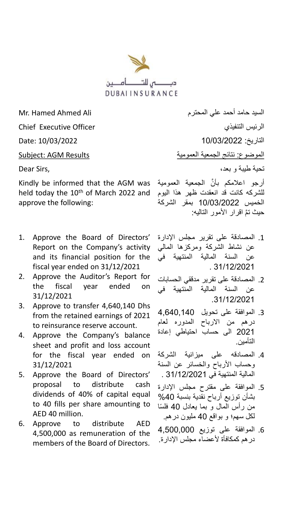

kindly be informed that the AGM was أرجو اعلامكم بأنَّ الجمعية العمومية I held today the 10<sup>th</sup> of March 2022 and approve the following:

- 1. Approve the Board of Directors' Report on the Company's activity and its financial position for the fiscal year ended on 31/12/2021
- 2. Approve the Auditor's Report for the fiscal year ended on 31/12/2021
- 3. Approve to transfer 4,640,140 Dhs from the retained earnings of 2021 to reinsurance reserve account.
- 4. Approve the Company's balance sheet and profit and loss account for the fiscal year ended on 31/12/2021
- 5. Approve the Board of Directors' proposal to distribute cash dividends of 40% of capital equal to 40 fills per share amounting to AED 40 million.
- 6. Approve to distribute AED 4,500,000 as remuneration of the members of the Board of Directors.

السيد حامد أحمد علي المحترم Ali Ahmed Hamed .Mr Chief Executive Officer التنفيذي الرئيس التاريخ: 10/03/2022 10/03/2022 :Date الموضوع: نتائج الجمعية العمومية العمومية العمومية العمومية العمومية العمومية العمومية العمومية العمومية العمو تحية طيبة و بعد، ,Sirs Dear

للشركه كانت قد انعقدت ظهر هذا اليوم الخميس 10/03/2022 بمقر الشركة حيث تمَّ اقرار الأمور التاليه:

- .1 المصادقة على تقرير مجلس اإلدارة عن نشاط الشركة ومركزها المالي عن السنة المالية المنتهية في . 31/12/2021
- .2 المصادقة على تقرير مدققي الحسابات عن السنة المالية المنتهية في .31/12/2021
- .3 الموافقة على تحويل 4,640,140 درهم من االرباح المدوره لعام 2021 الى حساب احتياطي إعادة التأمين.
- .4 المصادقه على ميزانية الشركة وحساب األرباح والخسائر عن السنة المالية المنتهية في 31/12/2021 .
- .5 الموافقة على مقترح مجلس اإلدارة بشأن توزيع أرباح نقدية بنسبة %40 من رأس المال و بما يعادل 40 فلسًا لكل سهم؛ و بواقع 40 مليون درهم.
- .6 الموافقة على توزيع 4,500,000 در هم كمكافأة لأعضاء مجلس الإدارة.